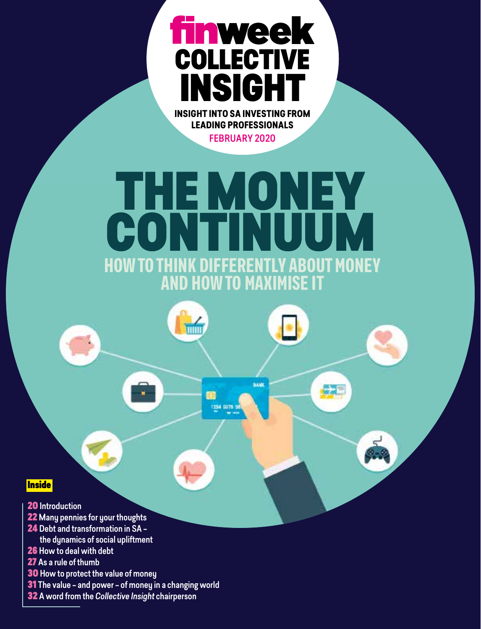## **finweek** COLLECTIVE INSIGHT **INSIGHT INTO SA INVESTING FROM**

**LEADING PROFESSIONALS**

FEBRUARY 2020

## THE MONEY. CONTINUUM DECEDENTIV ADQUIT MONEY HOW TO THINK DIFFERENTLY ABOUT MONEY AND HOW TO MAXIMISE IT

BAME

1234.6678.98

**TINTE** 

## **Inside**

- 20 Introduction
- 22 Many pennies for your thoughts
- 24 Debt and transformation in SA –
- the dynamics of social upliftment
- 26 How to deal with debt
- 27 As a rule of thumb
- **30** How to protect the value of money
- **31** The value and power of money in a changing world
- 32 A word from the *Collective Insight* chairperson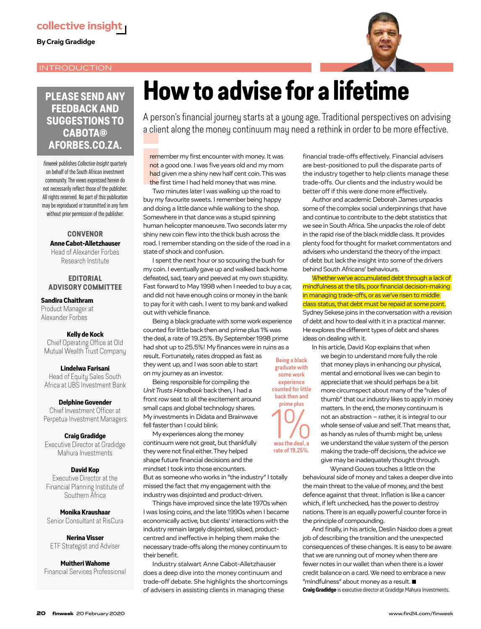## INTRODUCTION



## **PLEASE SEND ANY FEEDBACK AND SUGGESTIONS TO CABOTA@ AFORBES.CO.ZA.**

*finweek* publishes *Collective Insight* quarterly on behalf of the South African investment community. The views expressed herein do not necessarily reflect those of the publisher. All rights reserved. No part of this publication may be reproduced or transmitted in any form without prior permission of the publisher.

#### **CONVENOR**  Anne Cabot-Alletzhauser Head of Alexander Forbes Research Institute

### **EDITORIAL ADVISORY COMMITTEE**

Sandira Chaithram

Product Manager at Alexander Forbes

#### Kelly de Kock

Chief Operating Office at Old Mutual Wealth Trust Company

Lindelwa Farisani Head of Equity Sales South Africa at UBS Investment Bank

Delphine Govender Chief Investment Officer at Perpetua Investment Managers

#### Craig Gradidge

Executive Director at Gradidge Mahura Investments

#### David Kop

Executive Director at the Financial Planning Institute of Southern Africa

Monika Kraushaar Senior Consultant at RisCura

### Nerina Visser ETF Strategist and Adviser

Muitheri Wahome Financial Services Professional

## **How to advise for a lifetime**

A person's financial journey starts at a young age. Traditional perspectives on advising a client along the money continuum may need a rethink in order to be more effective.

a clie<br>
reme<br>
not a<br>
had<br>
the f<br>
Two<br>
buy my remember my first encounter with money. It was not a good one. I was five years old and my mom had given me a shiny new half cent coin. This was the first time I had held money that was mine.

Two minutes later I was walking up the road to buy my favourite sweets. I remember being happy and doing a little dance while walking to the shop. Somewhere in that dance was a stupid spinning human helicopter manoeuvre. Two seconds later my shiny new coin flew into the thick bush across the road. I remember standing on the side of the road in a state of shock and confusion.

I spent the next hour or so scouring the bush for my coin. I eventually gave up and walked back home defeated, sad, teary and peeved at my own stupidity. Fast forward to May 1998 when I needed to buy a car, and did not have enough coins or money in the bank to pay for it with cash. I went to my bank and walked out with vehicle finance.

Being a black graduate with some work experience counted for little back then and prime plus 1% was the deal, a rate of 19.25%. By September 1998 prime had shot up to 25.5%! My finances were in ruins as a result. Fortunately, rates dropped as fast as they went up, and I was soon able to start on my journey as an investor.

Being responsible for compiling the *Unit Trusts Handbook* back then, I had a front row seat to all the excitement around small caps and global technology shares. My investments in Didata and Brainwave fell faster than I could blink.

My experiences along the money continuum were not great, but thankfully they were not final either. They helped shape future financial decisions and the mindset I took into those encounters. But as someone who works in "the industry" I totally missed the fact that my engagement with the industry was disjointed and product-driven.

Things have improved since the late 1970s when I was losing coins, and the late 1990s when I became economically active, but clients' interactions with the industry remain largely disjointed, siloed, productcentred and ineffective in helping them make the necessary trade-offs along the money continuum to their benefit.

Industry stalwart Anne Cabot-Alletzhauser does a deep dive into the money continuum and trade-off debate. She highlights the shortcomings of advisers in assisting clients in managing these

financial trade-offs effectively. Financial advisers are best-positioned to pull the disparate parts of the industry together to help clients manage these trade-offs. Our clients and the industry would be better off if this were done more effectively.

Author and academic Deborah James unpacks some of the complex social underpinnings that have and continue to contribute to the debt statistics that we see in South Africa. She unpacks the role of debt in the rapid rise of the black middle class. It provides plenty food for thought for market commentators and advisers who understand the theory of the impact of debt but lack the insight into some of the drivers behind South Africans' behaviours.

Whether we've accumulated debt through a lack of mindfulness at the tills, poor financial decision-making in managing trade-offs, or as we've risen to middle class status, that debt must be repaid at some point. Sydney Sekese joins in the conversation with a revision of debt and how to deal with it in a practical manner. He explores the different types of debt and shares ideas on dealing with it.

In his article, David Kop explains that when

Being a black graduate with some work experience counted for little back then and prime plus

 $10/$ rate of 19.25%.

we begin to understand more fully the role that money plays in enhancing our physical, mental and emotional lives we can begin to appreciate that we should perhaps be a bit more circumspect about many of the "rules of thumb" that our industry likes to apply in money matters. In the end, the money continuum is not an abstraction – rather, it is integral to our whole sense of value and self. That means that, as handy as rules of thumb might be, unless we understand the value system of the person making the trade-off decisions, the advice we give may be inadequately thought through.

Wynand Gouws touches a little on the

behavioural side of money and takes a deeper dive into the main threat to the value of money, and the best defence against that threat. Inflation is like a cancer which, if left unchecked, has the power to destroy nations. There is an equally powerful counter force in the principle of compounding.

And finally, in his article, Deslin Naidoo does a great job of describing the transition and the unexpected consequences of these changes. It is easy to be aware that we are running out of money when there are fewer notes in our wallet than when there is a lower credit balance on a card. We need to embrace a new "mindfulness" about money as a result. ■

Craig Gradidge is executive director at Gradidge Mahura Investments.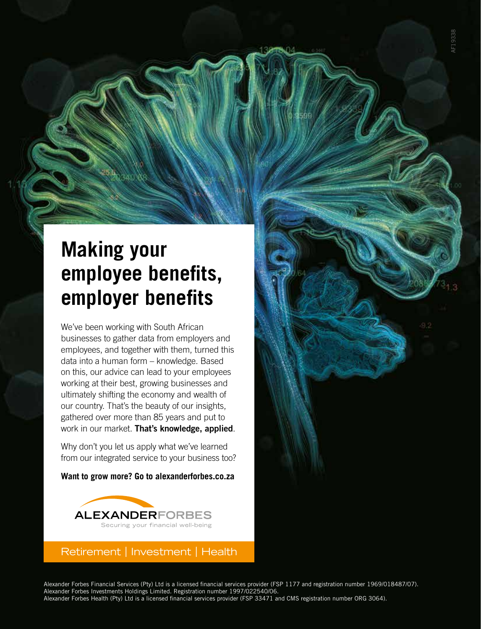## **Making your employee benefits, employer benefits**

We've been working with South African businesses to gather data from employers and employees, and together with them, turned this data into a human form – knowledge. Based on this, our advice can lead to your employees working at their best, growing businesses and ultimately shifting the economy and wealth of our country. That's the beauty of our insights, gathered over more than 85 years and put to work in our market. That's knowledge, applied.

Why don't you let us apply what we've learned from our integrated service to your business too?

**Want to grow more? Go to alexanderforbes.co.za**



## Retirement | Investment | Health

Alexander Forbes Financial Services (Pty) Ltd is a licensed financial services provider (FSP 1177 and registration number 1969/018487/07). Alexander Forbes Investments Holdings Limited. Registration number 1997/022540/06. Alexander Forbes Health (Pty) Ltd is a licensed financial services provider (FSP 33471 and CMS registration number ORG 3064).

AF19338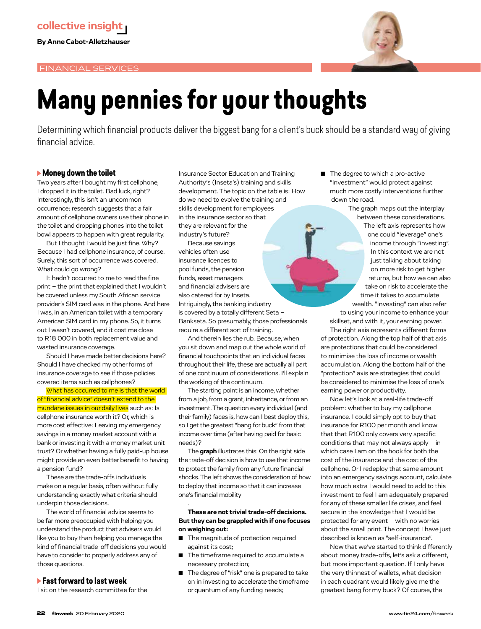

## **Many pennies for your thoughts**

Determining which financial products deliver the biggest bang for a client's buck should be a standard way of giving financial advice.

## **Money down the toilet**

Two years after I bought my first cellphone, I dropped it in the toilet. Bad luck, right? Interestingly, this isn't an uncommon occurrence; research suggests that a fair amount of cellphone owners use their phone in the toilet and dropping phones into the toilet bowl appears to happen with great regularity.

But I thought I would be just fine. Why? Because I had cellphone insurance, of course. Surely, this sort of occurrence was covered. What could go wrong?

It hadn't occurred to me to read the fine print – the print that explained that I wouldn't be covered unless my South African service provider's SIM card was in the phone. And here I was, in an American toilet with a temporary American SIM card in my phone. So, it turns out I wasn't covered, and it cost me close to R18 000 in both replacement value and wasted insurance coverage.

Should I have made better decisions here? Should I have checked my other forms of insurance coverage to see if those policies covered items such as cellphones?

What has occurred to me is that the world of "financial advice" doesn't extend to the mundane issues in our daily lives such as: Is cellphone insurance worth it? Or, which is more cost effective: Leaving my emergency savings in a money market account with a bank or investing it with a money market unit trust? Or whether having a fully paid-up house might provide an even better benefit to having a pension fund?

These are the trade-offs individuals make on a regular basis, often without fully understanding exactly what criteria should underpin those decisions.

The world of financial advice seems to be far more preoccupied with helping you understand the product that advisers would like you to buy than helping you manage the kind of financial trade-off decisions you would have to consider to properly address any of those questions.

## **Fast forward to last week**

I sit on the research committee for the

Insurance Sector Education and Training Authority's (Inseta's) training and skills development. The topic on the table is: How do we need to evolve the training and skills development for employees in the insurance sector so that they are relevant for the industry's future?

Because savings vehicles often use insurance licences to pool funds, the pension funds, asset managers and financial advisers are also catered for by Inseta. Intriguingly, the banking industry is covered by a totally different Seta – Bankseta. So presumably, those professionals require a different sort of training.

And therein lies the rub. Because, when you sit down and map out the whole world of financial touchpoints that an individual faces throughout their life, these are actually all part of one continuum of considerations. I'll explain the working of the continuum.

The starting point is an income, whether from a job, from a grant, inheritance, or from an investment. The question every individual (and their family) faces is, how can I best deploy this, so I get the greatest "bang for buck" from that income over time (after having paid for basic needs)?

The **graph** illustrates this: On the right side the trade-off decision is how to use that income to protect the family from any future financial shocks. The left shows the consideration of how to deploy that income so that it can increase one's financial mobility

#### **These are not trivial trade-off decisions. But they can be grappled with if one focuses on weighing out:**

■ The magnitude of protection required against its cost;

.

- The timeframe required to accumulate a necessary protection;
- The degree of "risk" one is prepared to take on in investing to accelerate the timeframe or quantum of any funding needs;

The degree to which a pro-active "investment" would protect against much more costly interventions further down the road.

> The graph maps out the interplay between these considerations. The left axis represents how one could "leverage" one's

income through "investing". In this context we are not just talking about taking on more risk to get higher returns, but how we can also take on risk to accelerate the time it takes to accumulate wealth. "Investing" can also refer to using your income to enhance your skillset, and with it, your earning power.

The right axis represents different forms of protection. Along the top half of that axis are protections that could be considered to minimise the loss of income or wealth accumulation. Along the bottom half of the "protection" axis are strategies that could be considered to minimise the loss of one's earning power or productivity.

Now let's look at a real-life trade-off problem: whether to buy my cellphone insurance. I could simply opt to buy that insurance for R100 per month and know that that R100 only covers very specific conditions that may not always apply – in which case I am on the hook for both the cost of the insurance and the cost of the cellphone. Or I redeploy that same amount into an emergency savings account, calculate how much extra I would need to add to this investment to feel I am adequately prepared for any of these smaller life crises, and feel secure in the knowledge that I would be protected for any event – with no worries about the small print. The concept I have just described is known as "self-insurance".

Now that we've started to think differently about money trade-offs, let's ask a different, but more important question. If I only have the very thinnest of wallets, what decision in each quadrant would likely give me the greatest bang for my buck? Of course, the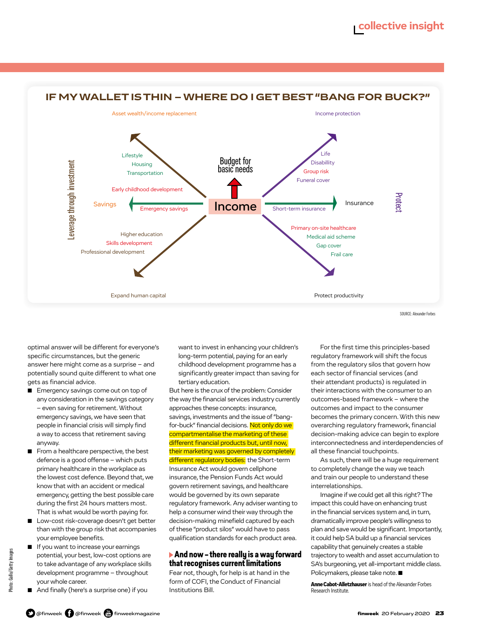

## **IF MY WALLET IS THIN – WHERE DO I GET BEST "BANG FOR BUCK?"**

SOURCE: Alexander Forbes

optimal answer will be different for everyone's specific circumstances, but the generic answer here might come as a surprise – and potentially sound quite different to what one gets as financial advice.

- Emergency savings come out on top of any consideration in the savings category – even saving for retirement. Without emergency savings, we have seen that people in financial crisis will simply find a way to access that retirement saving anyway.
- From a healthcare perspective, the best defence is a good offense – which puts primary healthcare in the workplace as the lowest cost defence. Beyond that, we know that with an accident or medical emergency, getting the best possible care during the first 24 hours matters most. That is what would be worth paying for.
- Low-cost risk-coverage doesn't get better than with the group risk that accompanies your employee benefits.
- If you want to increase your earnings potential, your best, low-cost options are to take advantage of any workplace skills development programme – throughout your whole career.
- And finally (here's a surprise one) if you

want to invest in enhancing your children's long-term potential, paying for an early childhood development programme has a significantly greater impact than saving for tertiary education.

But here is the crux of the problem: Consider the way the financial services industry currently approaches these concepts: insurance, savings, investments and the issue of "bangfor-buck" financial decisions. Not only do we compartmentalise the marketing of these different financial products but, until now. their marketing was governed by completely different regulatory bodies: the Short-term Insurance Act would govern cellphone insurance, the Pension Funds Act would govern retirement savings, and healthcare would be governed by its own separate regulatory framework. Any adviser wanting to help a consumer wind their way through the decision-making minefield captured by each of these "product silos" would have to pass qualification standards for each product area.

### **And now – there really is a way forward that recognises current limitations**

Fear not, though, for help is at hand in the form of COFI, the Conduct of Financial Institutions Bill.

For the first time this principles-based regulatory framework will shift the focus from the regulatory silos that govern how each sector of financial services (and their attendant products) is regulated in their interactions with the consumer to an outcomes-based framework – where the outcomes and impact to the consumer becomes the primary concern. With this new overarching regulatory framework, financial decision-making advice can begin to explore interconnectedness and interdependencies of all these financial touchpoints.

As such, there will be a huge requirement to completely change the way we teach and train our people to understand these interrelationships.

Imagine if we could get all this right? The impact this could have on enhancing trust in the financial services system and, in turn, dramatically improve people's willingness to plan and save would be significant. Importantly, it could help SA build up a financial services capability that genuinely creates a stable trajectory to wealth and asset accumulation to SA's burgeoning, yet all-important middle class. Policymakers, please take note. ■

Anne Cabot-Alletzhauser is head of the Alexander Forbes Research Institute.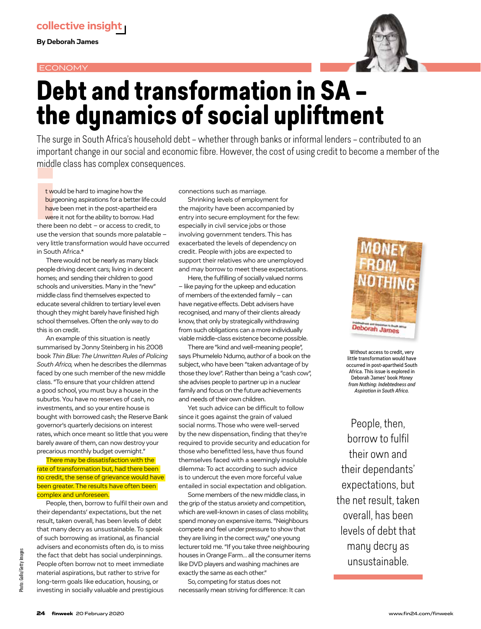### ECONOMY



## **Debt and transformation in SA – the dynamics of social upliftment**

The surge in South Africa's household debt – whether through banks or informal lenders – contributed to an important change in our social and economic fibre. However, the cost of using credit to become a member of the middle class has complex consequences.

middl<br>
t wc<br>
burg<br>
have<br>
were<br>
there b<br>
use the t would be hard to imagine how the burgeoning aspirations for a better life could have been met in the post-apartheid era were it not for the ability to borrow. Had there been no debt – or access to credit, to use the version that sounds more palatable – very little transformation would have occurred in South Africa\*

There would not be nearly as many black people driving decent cars; living in decent homes; and sending their children to good schools and universities. Many in the "new" middle class find themselves expected to educate several children to tertiary level even though they might barely have finished high school themselves. Often the only way to do this is on credit.

An example of this situation is neatly summarised by Jonny Steinberg in his 2008 book *Thin Blue: The Unwritten Rules of Policing South Africa,* when he describes the dilemmas faced by one such member of the new middle class. "To ensure that your children attend a good school, you must buy a house in the suburbs. You have no reserves of cash, no investments, and so your entire house is bought with borrowed cash; the Reserve Bank governor's quarterly decisions on interest rates, which once meant so little that you were barely aware of them, can now destroy your precarious monthly budget overnight."

There may be dissatisfaction with the rate of transformation but, had there been no credit, the sense of grievance would have been greater. The results have often been complex and unforeseen.

People, then, borrow to fulfil their own and their dependants' expectations, but the net result, taken overall, has been levels of debt that many decry as unsustainable. To speak of such borrowing as irrational, as financial advisers and economists often do, is to miss the fact that debt has social underpinnings. People often borrow not to meet immediate material aspirations, but rather to strive for long-term goals like education, housing, or investing in socially valuable and prestigious

connections such as marriage.

Shrinking levels of employment for the majority have been accompanied by entry into secure employment for the few: especially in civil service jobs or those involving government tenders. This has exacerbated the levels of dependency on credit. People with jobs are expected to support their relatives who are unemployed and may borrow to meet these expectations.

Here, the fulfilling of socially valued norms – like paying for the upkeep and education of members of the extended family – can have negative effects. Debt advisers have recognised, and many of their clients already know, that only by strategically withdrawing from such obligations can a more individually viable middle-class existence become possible.

There are "kind and well-meaning people", says Phumelelo Ndumo, author of a book on the subject, who have been "taken advantage of by those they love". Rather than being a "cash cow", she advises people to partner up in a nuclear family and focus on the future achievements and needs of their own children.

Yet such advice can be difficult to follow since it goes against the grain of valued social norms. Those who were well-served by the new dispensation, finding that they're required to provide security and education for those who benefitted less, have thus found themselves faced with a seemingly insoluble dilemma: To act according to such advice is to undercut the even more forceful value entailed in social expectation and obligation.

Some members of the new middle class, in the grip of the status anxiety and competition, which are well-known in cases of class mobility, spend money on expensive items. "Neighbours compete and feel under pressure to show that they are living in the correct way," one young lecturer told me. "If you take three neighbouring houses in Orange Farm… all the consumer items like DVD players and washing machines are exactly the same as each other."

So, competing for status does not necessarily mean striving for difference: It can



Without access to credit, very little transformation would have occurred in post-apartheid South Africa. This issue is explored in Deborah James' book *Money from Nothing: Indebtedness and Aspiration in South Africa.*

People, then, borrow to fulfil their own and their dependants' expectations, but the net result, taken overall, has been levels of debt that many decry as unsustainable.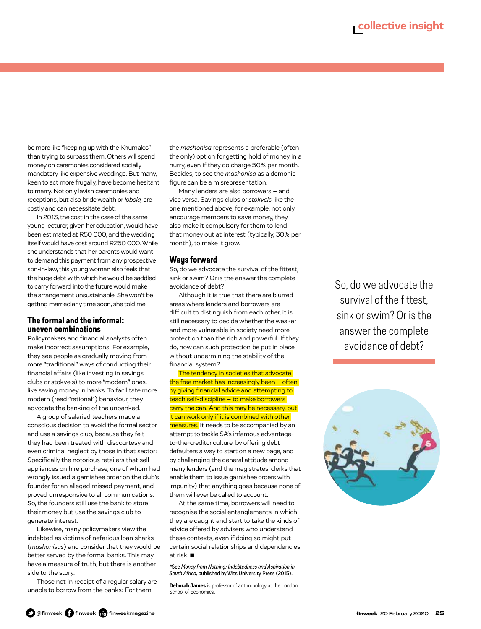be more like "keeping up with the Khumalos" than trying to surpass them. Others will spend money on ceremonies considered socially mandatory like expensive weddings. But many, keen to act more frugally, have become hesitant to marry. Not only lavish ceremonies and receptions, but also bride wealth or *lobola,* are costly and can necessitate debt.

In 2013, the cost in the case of the same young lecturer, given her education, would have been estimated at R50 000, and the wedding itself would have cost around R250 000. While she understands that her parents would want to demand this payment from any prospective son-in-law, this young woman also feels that the huge debt with which he would be saddled to carry forward into the future would make the arrangement unsustainable. She won't be getting married any time soon, she told me.

### **The formal and the informal: uneven combinations**

Policymakers and financial analysts often make incorrect assumptions. For example, they see people as gradually moving from more "traditional" ways of conducting their financial affairs (like investing in savings clubs or stokvels) to more "modern" ones, like saving money in banks. To facilitate more modern (read "rational") behaviour, they advocate the banking of the unbanked.

A group of salaried teachers made a conscious decision to avoid the formal sector and use a savings club, because they felt they had been treated with discourtesy and even criminal neglect by those in that sector: Specifically the notorious retailers that sell appliances on hire purchase, one of whom had wrongly issued a garnishee order on the club's founder for an alleged missed payment, and proved unresponsive to all communications. So, the founders still use the bank to store their money but use the savings club to generate interest.

Likewise, many policymakers view the indebted as victims of nefarious loan sharks (*mashonisas*) and consider that they would be better served by the formal banks. This may have a measure of truth, but there is another side to the story.

Those not in receipt of a regular salary are unable to borrow from the banks: For them,

the *mashonisa* represents a preferable (often the only) option for getting hold of money in a hurry, even if they do charge 50% per month. Besides, to see the *mashonisa* as a demonic figure can be a misrepresentation.

Many lenders are also borrowers – and vice versa. Savings clubs or *stokvels* like the one mentioned above, for example, not only encourage members to save money, they also make it compulsory for them to lend that money out at interest (typically, 30% per month), to make it grow.

### **Ways forward**

So, do we advocate the survival of the fittest, sink or swim? Or is the answer the complete avoidance of debt?

Although it is true that there are blurred areas where lenders and borrowers are difficult to distinguish from each other, it is still necessary to decide whether the weaker and more vulnerable in society need more protection than the rich and powerful. If they do, how can such protection be put in place without undermining the stability of the financial system?

The tendency in societies that advocate the free market has increasingly been – often by giving financial advice and attempting to teach self-discipline – to make borrowers carry the can. And this may be necessary, but it can work only if it is combined with other measures. It needs to be accompanied by an attempt to tackle SA's infamous advantageto-the-creditor culture, by offering debt defaulters a way to start on a new page, and by challenging the general attitude among many lenders (and the magistrates' clerks that enable them to issue garnishee orders with impunity) that anything goes because none of them will ever be called to account.

At the same time, borrowers will need to recognise the social entanglements in which they are caught and start to take the kinds of advice offered by advisers who understand these contexts, even if doing so might put certain social relationships and dependencies at risk. ■

*\**See *Money from Nothing: Indebtedness and Aspiration in South Africa,* published by Wits University Press (2015).

**Deborah James** is professor of anthropology at the London School of Economics.

So, do we advocate the survival of the fittest, sink or swim? Or is the answer the complete avoidance of debt?

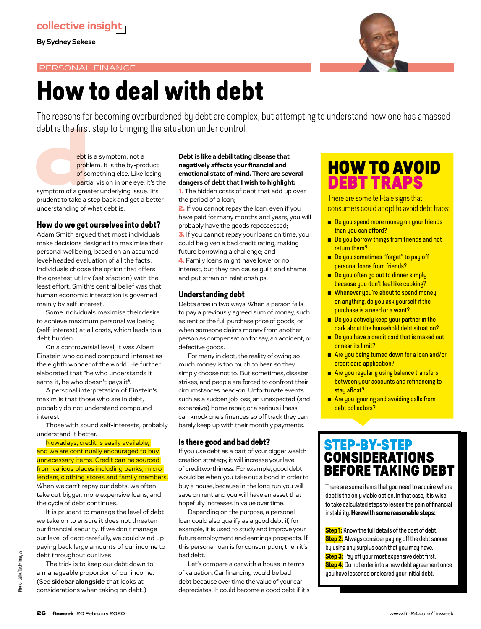**By Sydney Sekese**

## PERSONAL FINANCE



## **How to deal with debt**

The reasons for becoming overburdened by debt are complex, but attempting to understand how one has amassed debt is the first step to bringing the situation under control.

debt is the first step to bringing<br>ebt is a symptom, not a<br>problem. It is the by-pro<br>of something else. Like l<br>partial vision in one eye,<br>symptom of a greater underlying issue<br>prudent to take a step back and get a problem. It is the by-product of something else. Like losing partial vision in one eye, it's the symptom of a greater underlying issue. It's prudent to take a step back and get a better understanding of what debt is.

## **How do we get ourselves into debt?**

Adam Smith argued that most individuals make decisions designed to maximise their personal wellbeing, based on an assumed level-headed evaluation of all the facts. Individuals choose the option that offers the greatest utility (satisfaction) with the least effort. Smith's central belief was that human economic interaction is governed mainly by self-interest.

Some individuals maximise their desire to achieve maximum personal wellbeing (self-interest) at all costs, which leads to a debt burden.

On a controversial level, it was Albert Einstein who coined compound interest as the eighth wonder of the world. He further elaborated that "he who understands it earns it, he who doesn't pays it".

A personal interpretation of Einstein's maxim is that those who are in debt, probably do not understand compound interest.

Those with sound self-interests, probably understand it better.

Nowadays, credit is easily available, and we are continually encouraged to buy unnecessary items. Credit can be sourced from various places including banks, micro lenders, clothing stores and family members. When we can't repay our debts, we often take out bigger, more expensive loans, and the cycle of debt continues.

It is prudent to manage the level of debt we take on to ensure it does not threaten our financial security. If we don't manage our level of debt carefully, we could wind up paying back large amounts of our income to debt throughout our lives.

The trick is to keep our debt down to a manageable proportion of our income. (See **sidebar alongside** that looks at considerations when taking on debt.)

### **Debt is like a debilitating disease that negatively affects your financial and emotional state of mind. There are several dangers of debt that I wish to highlight:**

**1.** The hidden costs of debt that add up over the period of a loan;

2. If you cannot repay the loan, even if you have paid for many months and years, you will probably have the goods repossessed; **3.** If you cannot repay your loans on time, you could be given a bad credit rating, making future borrowing a challenge; and

4**.** Family loans might have lower or no interest, but they can cause guilt and shame and put strain on relationships.

## **Understanding debt**

Debts arise in two ways. When a person fails to pay a previously agreed sum of money, such as rent or the full purchase price of goods; or when someone claims money from another person as compensation for say, an accident, or defective goods.

For many in debt, the reality of owing so much money is too much to bear, so they simply choose not to. But sometimes, disaster strikes, and people are forced to confront their circumstances head-on. Unfortunate events such as a sudden job loss, an unexpected (and expensive) home repair, or a serious illness can knock one's finances so off track they can barely keep up with their monthly payments.

### **Is there good and bad debt?**

If you use debt as a part of your bigger wealth creation strategy, it will increase your level of creditworthiness. For example, good debt would be when you take out a bond in order to buy a house, because in the long run you will save on rent and you will have an asset that hopefully increases in value over time.

Depending on the purpose, a personal loan could also qualify as a good debt if, for example, it is used to study and improve your future employment and earnings prospects. If this personal loan is for consumption, then it's bad debt.

Let's compare a car with a house in terms of valuation. Car financing would be bad debt because over time the value of your car depreciates. It could become a good debt if it's

## HOW TO AVOID DEBT TRAPS

There are some tell-tale signs that consumers could adopt to avoid debt traps:

- Do you spend more money on your friends than you can afford?
- Do you borrow things from friends and not return them?
- Do you sometimes "forget" to pay off personal loans from friends?
- Do you often go out to dinner simply because you don't feel like cooking?
- Whenever you're about to spend money on anything, do you ask yourself if the purchase is a need or a want?
- Do you actively keep your partner in the dark about the household debt situation?
- Do you have a credit card that is maxed out or near its limit?
- Are you being turned down for a loan and/or credit card application?
- Are you regularly using balance transfers between your accounts and refinancing to stay afloat?
- Are you ignoring and avoiding calls from debt collectors?

## STEP-BY-STEP CONSIDERATIONS BEFORE TAKING DEBT

There are some items that you need to acquire where debt is the only viable option. In that case, it is wise to take calculated steps to lessen the pain of financial instability. **Herewith some reasonable steps:**

**Step 1:** Know the full details of the cost of debt. **Step 2:** Always consider paying off the debt sooner by using any surplus cash that you may have. **Step 3:** Pay off your most expensive debt first. **Step 4:** Do not enter into a new debt agreement once you have lessened or cleared your initial debt.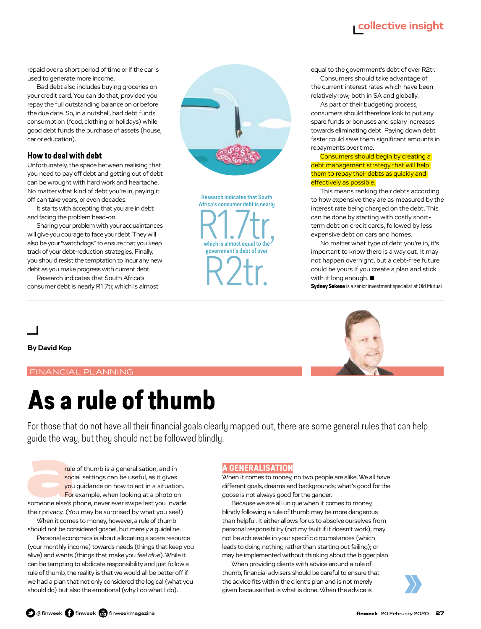## **collective insight**

repaid over a short period of time or if the car is used to generate more income.

Bad debt also includes buying groceries on your credit card. You can do that, provided you repay the full outstanding balance on or before the due date. So, in a nutshell, bad debt funds consumption (food, clothing or holidays) while good debt funds the purchase of assets (house, car or education).

### **How to deal with debt**

Unfortunately, the space between realising that you need to pay off debt and getting out of debt can be wrought with hard work and heartache. No matter what kind of debt you're in, paying it off can take years, or even decades.

It starts with accepting that you are in debt and facing the problem head-on.

Sharing your problem with your acquaintances will give you courage to face your debt. They will also be your "watchdogs" to ensure that you keep track of your debt-reduction strategies. Finally, you should resist the temptation to incur any new debt as you make progress with current debt.

Research indicates that South Africa's consumer debt is nearly R1.7tr, which is almost



Research indicates that South Africa's consumer debt is nearly R1.7tr, government's debt of over R2tr.

equal to the government's debt of over R2tr. Consumers should take advantage of

the current interest rates which have been relatively low; both in SA and globally.

As part of their budgeting process, consumers should therefore look to put any spare funds or bonuses and salary increases towards eliminating debt. Paying down debt faster could save them significant amounts in repayments over time.

Consumers should begin by creating a debt management strategy that will help them to repay their debts as quickly and effectively as possible.

This means ranking their debts according to how expensive they are as measured by the interest rate being charged on the debt. This can be done by starting with costly shortterm debt on credit cards, followed by less expensive debt on cars and homes.

No matter what type of debt you're in, it's important to know there is a way out. It may not happen overnight, but a debt-free future could be yours if you create a plan and stick with it long enough. ■

Sydney Sekese is a senior investment specialist at Old Mutual.

**By David Kop**

## FINANCIAL PLANNING

## **As a rule of thumb**

For those that do not have all their financial goals clearly mapped out, there are some general rules that can help guide the way, but they should not be followed blindly.

guitue the way, but they should not be follow<br>
the of thumb is a generalisation, and in<br>
social settings can be useful, as it gives<br>
you guidance on how to act in a situatic<br>
For example, when looking at a photo of<br>
someon social settings can be useful, as it gives you guidance on how to act in a situation. For example, when looking at a photo on someone else's phone, never ever swipe lest you invade their privacy. (You may be surprised by what you see!)

When it comes to money, however, a rule of thumb should not be considered gospel, but merely a guideline.

Personal economics is about allocating a scare resource (your monthly income) towards needs (things that keep you alive) and wants (things that make you *feel alive*). While it can be tempting to abdicate responsibility and just follow a rule of thumb, the reality is that we would all be better off if we had a plan that not only considered the logical (what you should do) but also the emotional (why I do what I do).

## **A GENERALISATION**

When it comes to money, no two people are alike. We all have different goals, dreams and backgrounds; what's good for the goose is not always good for the gander.

Because we are all unique when it comes to money, blindly following a rule of thumb may be more dangerous than helpful. It either allows for us to absolve ourselves from personal responsibility (not my fault if it doesn't work); may not be achievable in your specific circumstances (which leads to doing nothing rather than starting out failing); or may be implemented without thinking about the bigger plan.

When providing clients with advice around a rule of thumb, financial advisers should be careful to ensure that the advice fits within the client's plan and is not merely given because that is what is done. When the advice is

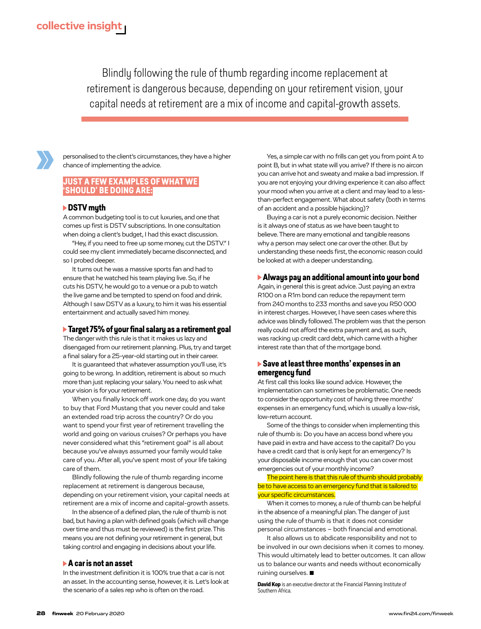Blindly following the rule of thumb regarding income replacement at retirement is dangerous because, depending on your retirement vision, your capital needs at retirement are a mix of income and capital-growth assets.



personalised to the client's circumstances, they have a higher chance of implementing the advice.

## **JUST A FEW EXAMPLES OF WHAT WE 'SHOULD' BE DOING ARE:**

### **DSTV myth**

A common budgeting tool is to cut luxuries, and one that comes up first is DSTV subscriptions. In one consultation when doing a client's budget, I had this exact discussion.

"Hey, if you need to free up some money, cut the DSTV." I could see my client immediately became disconnected, and so I probed deeper.

It turns out he was a massive sports fan and had to ensure that he watched his team playing live. So, if he cuts his DSTV, he would go to a venue or a pub to watch the live game and be tempted to spend on food and drink. Although I saw DSTV as a luxury, to him it was his essential entertainment and actually saved him money.

### **Target 75% of your final salary as a retirement goal**

The danger with this rule is that it makes us lazy and disengaged from our retirement planning. Plus, try and target a final salary for a 25-year-old starting out in their career.

It is guaranteed that whatever assumption you'll use, it's going to be wrong. In addition, retirement is about so much more than just replacing your salary. You need to ask what your vision is for your retirement.

When you finally knock off work one day, do you want to buy that Ford Mustang that you never could and take an extended road trip across the country? Or do you want to spend your first year of retirement travelling the world and going on various cruises? Or perhaps you have never considered what this "retirement goal" is all about because you've always assumed your family would take care of you. After all, you've spent most of your life taking care of them.

Blindly following the rule of thumb regarding income replacement at retirement is dangerous because, depending on your retirement vision, your capital needs at retirement are a mix of income and capital-growth assets.

In the absence of a defined plan, the rule of thumb is not bad, but having a plan with defined goals (which will change over time and thus must be reviewed) is the first prize. This means you are not defining your retirement in general, but taking control and engaging in decisions about your life.

#### **A car is not an asset**

In the investment definition it is 100% true that a car is not an asset. In the accounting sense, however, it is. Let's look at the scenario of a sales rep who is often on the road.

Yes, a simple car with no frills can get you from point A to point B, but in what state will you arrive? If there is no aircon you can arrive hot and sweaty and make a bad impression. If you are not enjoying your driving experience it can also affect your mood when you arrive at a client and may lead to a lessthan-perfect engagement. What about safety (both in terms of an accident and a possible hijacking)?

Buying a car is not a purely economic decision. Neither is it always one of status as we have been taught to believe. There are many emotional and tangible reasons why a person may select one car over the other. But by understanding these needs first, the economic reason could be looked at with a deeper understanding.

#### **Always pay an additional amount into your bond**

Again, in general this is great advice. Just paying an extra R100 on a R1m bond can reduce the repayment term from 240 months to 233 months and save you R50 000 in interest charges. However, I have seen cases where this advice was blindly followed. The problem was that the person really could not afford the extra payment and, as such, was racking up credit card debt, which came with a higher interest rate than that of the mortgage bond.

### **Save at least three months' expenses in an emergency fund**

At first call this looks like sound advice. However, the implementation can sometimes be problematic. One needs to consider the opportunity cost of having three months' expenses in an emergency fund, which is usually a low-risk, low-return account.

Some of the things to consider when implementing this rule of thumb is: Do you have an access bond where you have paid in extra and have access to the capital? Do you have a credit card that is only kept for an emergency? Is your disposable income enough that you can cover most emergencies out of your monthly income?

The point here is that this rule of thumb should probably be to have access to an emergency fund that is tailored to your specific circumstances.

When it comes to money, a rule of thumb can be helpful in the absence of a meaningful plan. The danger of just using the rule of thumb is that it does not consider personal circumstances – both financial and emotional.

It also allows us to abdicate responsibility and not to be involved in our own decisions when it comes to money. This would ultimately lead to better outcomes. It can allow us to balance our wants and needs without economically ruining ourselves. ■

David Kop is an executive director at the Financial Planning Institute of Southern Africa.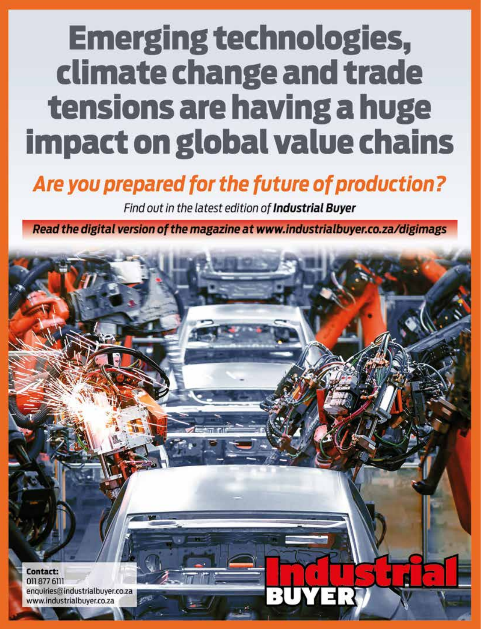# **Emerging technologies,** climate change and trade tensions are having a huge **impact on global value chains**

## Are you prepared for the future of production?

Find out in the latest edition of Industrial Buyer

Read the digital version of the magazine at www.industrialbuyer.co.za/digimags

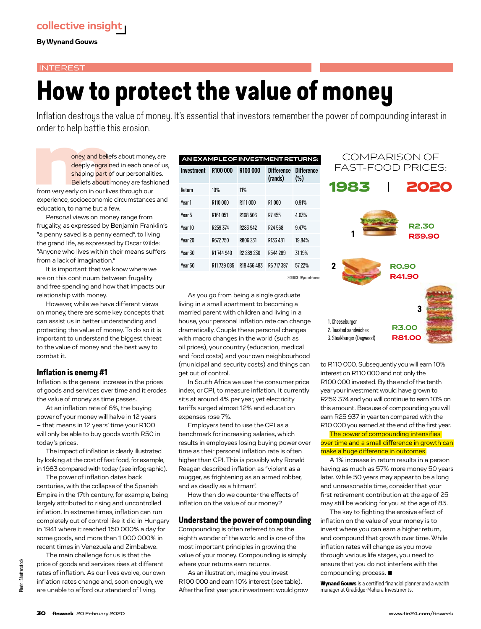**By Wynand Gouws**

### **INTEREST**

## **How to protect the value of money**

Inflation destroys the value of money. It's essential that investors remember the power of compounding interest in order to help battle this erosion.

order to help battle this erosion.<br>
oney, and beliefs about money, are<br>
deeply engrained in each one of us<br>
shaping part of our personalities.<br>
Beliefs about money are fashioned<br>
from very early on in our lives through our deeply engrained in each one of us, shaping part of our personalities. Beliefs about money are fashioned from very early on in our lives through our experience, socioeconomic circumstances and education, to name but a few.

Personal views on money range from frugality, as expressed by Benjamin Franklin's "a penny saved is a penny earned", to living the grand life, as expressed by Oscar Wilde: "Anyone who lives within their means suffers from a lack of imagination."

It is important that we know where we are on this continuum between frugality and free spending and how that impacts our relationship with money.

However, while we have different views on money, there are some key concepts that can assist us in better understanding and protecting the value of money. To do so it is important to understand the biggest threat to the value of money and the best way to combat it.

## **Inflation is enemy #1**

Inflation is the general increase in the prices of goods and services over time and it erodes the value of money as time passes.

At an inflation rate of 6%, the buying power of your money will halve in 12 years – that means in 12 years' time your R100 will only be able to buy goods worth R50 in today's prices.

The impact of inflation is clearly illustrated by looking at the cost of fast food, for example, in 1983 compared with today (see infographic).

The power of inflation dates back centuries, with the collapse of the Spanish Empire in the 17th century, for example, being largely attributed to rising and uncontrolled inflation. In extreme times, inflation can run completely out of control like it did in Hungary in 1941 where it reached 150 000% a day for some goods, and more than 1 000 000% in recent times in Venezuela and Zimbabwe.

The main challenge for us is that the price of goods and services rises at different rates of inflation. As our lives evolve, our own inflation rates change and, soon enough, we are unable to afford our standard of living.

| AN EXAMPLE OF INVESTMENT RETURNS: |                      |                        |                              |                             |
|-----------------------------------|----------------------|------------------------|------------------------------|-----------------------------|
| Investment                        | R100000              | R <sub>100</sub> 000   | <b>Difference</b><br>(rands) | <b>Difference</b><br>$(\%)$ |
| Return                            | 10%                  | 11%                    |                              |                             |
| Year 1                            | R110000              | R111 000               | R1000                        | 0.91%                       |
| Year 5                            | R <sub>161</sub> 051 | R168 506               | R7455                        | 4.63%                       |
| Year 10                           | R <sub>259</sub> 374 | R <sub>283</sub> 942   | R <sub>24568</sub>           | 947%                        |
| Year 20                           | R672 750             | R806 231               | R133 481                     | 19.84%                      |
| Year 30                           | R1744940             | R <sub>2</sub> 289 230 | R544 289                     | 31.19%                      |
| Year 50                           | R11 739 085          | R18 456 483            | R6 717 397                   | 57.22%                      |
|                                   |                      |                        |                              | SOLIRCE: Wynand Gouw        |

As you go from being a single graduate living in a small apartment to becoming a married parent with children and living in a house, your personal inflation rate can change dramatically. Couple these personal changes with macro changes in the world (such as oil prices), your country (education, medical and food costs) and your own neighbourhood (municipal and security costs) and things can get out of control.

In South Africa we use the consumer price index, or CPI, to measure inflation. It currently sits at around 4% per year, yet electricity tariffs surged almost 12% and education expenses rose 7%.

Employers tend to use the CPI as a benchmark for increasing salaries, which results in employees losing buying power over time as their personal inflation rate is often higher than CPI. This is possibly why Ronald Reagan described inflation as "violent as a mugger, as frightening as an armed robber, and as deadly as a hitman".

How then do we counter the effects of inflation on the value of our money?

## **Understand the power of compounding**

Compounding is often referred to as the eighth wonder of the world and is one of the most important principles in growing the value of your money. Compounding is simply where your returns earn returns.

As an illustration, imagine you invest R100 000 and earn 10% interest (see table). After the first year your investment would grow



to R110 000. Subsequently you will earn 10% interest on R110 000 and not only the R100 000 invested. By the end of the tenth year your investment would have grown to R259 374 and you will continue to earn 10% on this amount. Because of compounding you will earn R25 937 in year ten compared with the R10 000 you earned at the end of the first year.

The power of compounding intensifies over time and a small difference in growth can make a huge difference in outcomes.

A 1% increase in return results in a person having as much as 57% more money 50 years later. While 50 years may appear to be a long and unreasonable time, consider that your first retirement contribution at the age of 25 may still be working for you at the age of 85.

The key to fighting the erosive effect of inflation on the value of your money is to invest where you can earn a higher return, and compound that growth over time. While inflation rates will change as you move through various life stages, you need to ensure that you do not interfere with the compounding process. ■

Wynand Gouws is a certified financial planner and a wealth manager at Gradidge-Mahura Investments.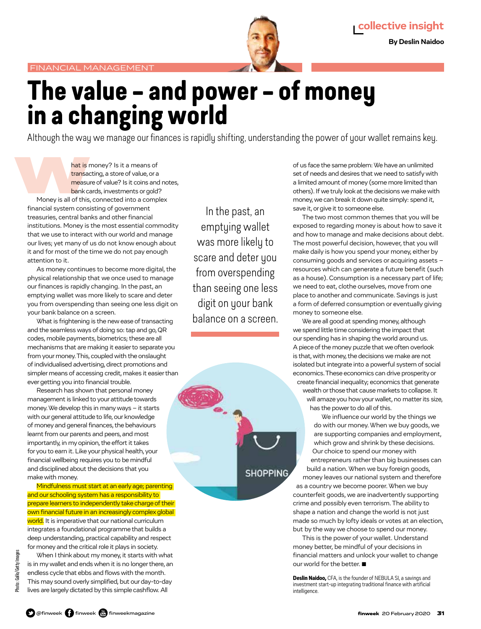

## **The value – and power – of money in a changing world**

Although the way we manage our finances is rapidly shifting, understanding the power of your wallet remains key.

Although the way we manage our fin<br>hat is money? Is it a means of<br>transacting, a store of value, or a<br>measure of value? Is it coins and<br>bank cards, investments or gold<br>Money is all of this, connected into a comp<br>financial transacting, a store of value, or a measure of value? Is it coins and notes, bank cards, investments or gold? Money is all of this, connected into a complex financial system consisting of government treasuries, central banks and other financial institutions. Money is the most essential commodity that we use to interact with our world and manage our lives; yet many of us do not know enough about it and for most of the time we do not pay enough attention to it.

As money continues to become more digital, the physical relationship that we once used to manage our finances is rapidly changing. In the past, an emptying wallet was more likely to scare and deter you from overspending than seeing one less digit on your bank balance on a screen.

What is frightening is the new ease of transacting and the seamless ways of doing so: tap and go, QR codes, mobile payments, biometrics; these are all mechanisms that are making it easier to separate you from your money. This, coupled with the onslaught of individualised advertising, direct promotions and simpler means of accessing credit, makes it easier than ever getting you into financial trouble.

Research has shown that personal money management is linked to your attitude towards money. We develop this in many ways – it starts with our general attitude to life, our knowledge of money and general finances, the behaviours learnt from our parents and peers, and most importantly, in my opinion, the effort it takes for you to earn it. Like your physical health, your financial wellbeing requires you to be mindful and disciplined about the decisions that you make with money.

Mindfulness must start at an early age; parenting and our schooling system has a responsibility to prepare learners to independently take charge of their own financial future in an increasingly complex global world. It is imperative that our national curriculum integrates a foundational programme that builds a deep understanding, practical capability and respect for money and the critical role it plays in society.

When I think about my money, it starts with what is in my wallet and ends when it is no longer there, an endless cycle that ebbs and flows with the month. This may sound overly simplified, but our day-to-day lives are largely dictated by this simple cashflow. All

In the past, an emptying wallet was more likely to scare and deter you from overspending than seeing one less digit on your bank balance on a screen.



of us face the same problem: We have an unlimited set of needs and desires that we need to satisfy with a limited amount of money (some more limited than others). If we truly look at the decisions we make with money, we can break it down quite simply: spend it, save it, or give it to someone else.

The two most common themes that you will be exposed to regarding money is about how to save it and how to manage and make decisions about debt. The most powerful decision, however, that you will make daily is how you spend your money, either by consuming goods and services or acquiring assets – resources which can generate a future benefit (such as a house). Consumption is a necessary part of life; we need to eat, clothe ourselves, move from one place to another and communicate. Savings is just a form of deferred consumption or eventually giving money to someone else.

We are all good at spending money, although we spend little time considering the impact that our spending has in shaping the world around us. A piece of the money puzzle that we often overlook is that, with money, the decisions we make are not isolated but integrate into a powerful system of social economics. These economics can drive prosperity or create financial inequality; economics that generate

wealth or those that cause markets to collapse. It will amaze you how your wallet, no matter its size, has the power to do all of this.

We influence our world by the things we do with our money. When we buy goods, we are supporting companies and employment, which grow and shrink by these decisions. Our choice to spend our money with entrepreneurs rather than big businesses can build a nation. When we buy foreign goods, money leaves our national system and therefore as a country we become poorer. When we buy counterfeit goods, we are inadvertently supporting crime and possibly even terrorism. The ability to shape a nation and change the world is not just made so much by lofty ideals or votes at an election, but by the way we choose to spend our money.

This is the power of your wallet. Understand money better, be mindful of your decisions in financial matters and unlock your wallet to change our world for the better. ■

Deslin Naidoo, CFA, is the founder of NEBULA SI, a savings and investment start-up integrating traditional finance with artificial intelligence.